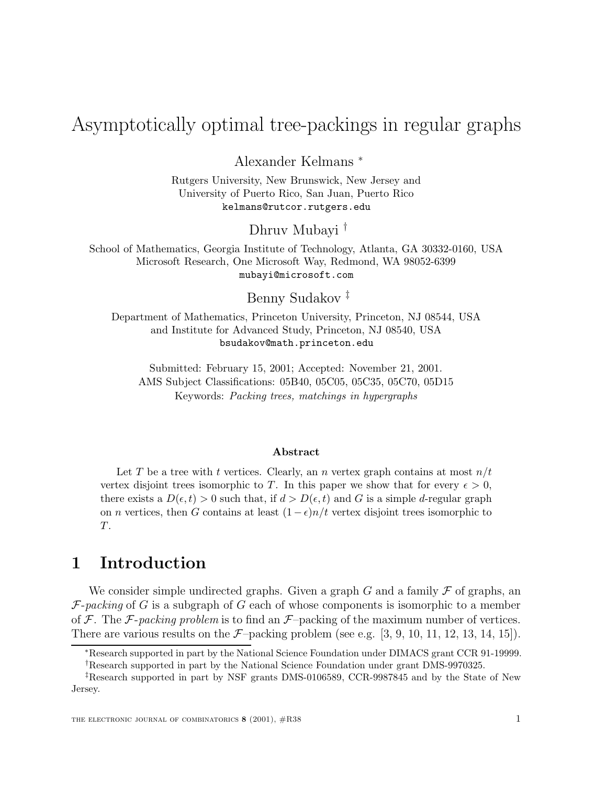# $A = \frac{A}{2}$  or  $\frac{A}{2}$  or  $\frac{A}{2}$  or  $\frac{A}{2}$  in regular  $\frac{A}{2}$  in regular graphs in regular graphs.

Alexander Kelmans <sup>∗</sup>

Rutgers University, New Brunswick, New Jersey and University of Puerto Rico, San Juan, Puerto Rico kelmans@rutcor.rutgers.edu

Dhruv Mubayi †

School of Mathematics, Georgia Institute of Technology, Atlanta, GA 30332-0160, USA Microsoft Research, One Microsoft Way, Redmond, WA 98052-6399 mubayi@microsoft.com

Benny Sudakov ‡

Department of Mathematics, Princeton University, Princeton, NJ 08544, USA and Institute for Advanced Study, Princeton, NJ 08540, USA bsudakov@math.princeton.edu

Submitted: February 15, 2001; Accepted: November 21, 2001. AMS Subject Classifications: 05B40, 05C05, 05C35, 05C70, 05D15 Keywords: Packing trees, matchings in hypergraphs

#### **Abstract**

Let T be a tree with t vertices. Clearly, an n vertex graph contains at most  $n/t$ vertex disjoint trees isomorphic to T. In this paper we show that for every  $\epsilon > 0$ , there exists a  $D(\epsilon, t) > 0$  such that, if  $d > D(\epsilon, t)$  and G is a simple d-regular graph on *n* vertices, then G contains at least  $(1 - \epsilon)n/t$  vertex disjoint trees isomorphic to T.

## **1 Introduction**

We consider simple undirected graphs. Given a graph G and a family  $\mathcal F$  of graphs, an  $F\text{-}packing$  of G is a subgraph of G each of whose components is isomorphic to a member of  $\mathcal F$ . The  $\mathcal F$ -packing problem is to find an  $\mathcal F$ -packing of the maximum number of vertices. There are various results on the  $\mathcal{F}-packing$  problem (see e.g. [3, 9, 10, 11, 12, 13, 14, 15]).

<sup>∗</sup>Research supported in part by the National Science Foundation under DIMACS grant CCR 91-19999. †Research supported in part by the National Science Foundation under grant DMS-9970325.

<sup>‡</sup>Research supported in part by NSF grants DMS-0106589, CCR-9987845 and by the State of New Jersey.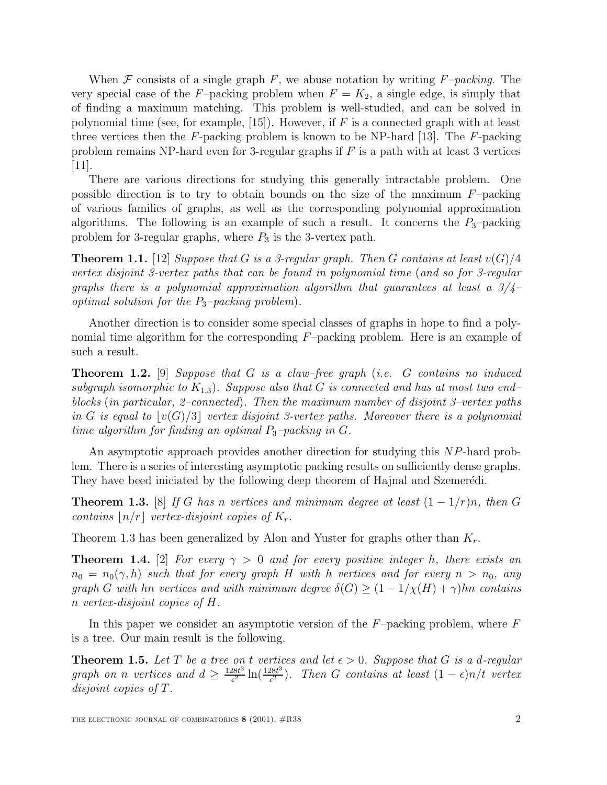When  $\mathcal F$  consists of a single graph  $F$ , we abuse notation by writing  $F$ –packing. The very special case of the F-packing problem when  $F = K_2$ , a single edge, is simply that of finding a maximum matching. This problem is well-studied, and can be solved in polynomial time (see, for example,  $[15]$ ). However, if F is a connected graph with at least three vertices then the  $F$ -packing problem is known to be NP-hard [13]. The  $F$ -packing problem remains NP-hard even for 3-regular graphs if  $F$  is a path with at least 3 vertices [11].

There are various directions for studying this generally intractable problem. One possible direction is to try to obtain bounds on the size of the maximum  $F$ –packing of various families of graphs, as well as the corresponding polynomial approximation algorithms. The following is an example of such a result. It concerns the  $P_3$ -packing problem for 3-regular graphs, where  $P_3$  is the 3-vertex path.

**Theorem 1.1.** [12] Suppose that G is a 3-regular graph. Then G contains at least  $v(G)/4$ vertex disjoint 3-vertex paths that can be found in polynomial time (and so for 3-regular graphs there is a polynomial approximation algorithm that guarantees at least a  $3/4$ optimal solution for the  $P_3$ -packing problem).

Another direction is to consider some special classes of graphs in hope to find a polynomial time algorithm for the corresponding F–packing problem. Here is an example of such a result.

**Theorem 1.2.** [9] Suppose that G is a claw–free graph (i.e. G contains no induced subgraph isomorphic to  $K_{1,3}$ ). Suppose also that G is connected and has at most two end– blocks (in particular, 2–connected). Then the maximum number of disjoint 3–vertex paths in G is equal to  $|v(G)/3|$  vertex disjoint 3-vertex paths. Moreover there is a polynomial time algorithm for finding an optimal  $P_3$ -packing in G.

An asymptotic approach provides another direction for studying this NP-hard problem. There is a series of interesting asymptotic packing results on sufficiently dense graphs. They have beed iniciated by the following deep theorem of Hajnal and Szemerédi.

**Theorem 1.3.** [8] If G has n vertices and minimum degree at least  $(1 - 1/r)n$ , then G contains  $\lfloor n/r \rfloor$  vertex-disjoint copies of  $K_r$ .

Theorem 1.3 has been generalized by Alon and Yuster for graphs other than  $K_r$ .

**Theorem 1.4.** [2] For every  $\gamma > 0$  and for every positive integer h, there exists an  $n_0 = n_0(\gamma, h)$  such that for every graph H with h vertices and for every  $n > n_0$ , any graph G with hn vertices and with minimum degree  $\delta(G) \geq (1 - 1/\chi(H) + \gamma)$ hn contains n vertex-disjoint copies of H.

In this paper we consider an asymptotic version of the  $F$ -packing problem, where  $F$ is a tree. Our main result is the following.

**Theorem 1.5.** Let T be a tree on t vertices and let  $\epsilon > 0$ . Suppose that G is a d-regular graph on n vertices and  $d \geq \frac{128t^3}{\epsilon^2} \ln(\frac{128t^3}{\epsilon^2})$ . Then G contains at least  $(1 - \epsilon)n/t$  vertex disjoint copies of T.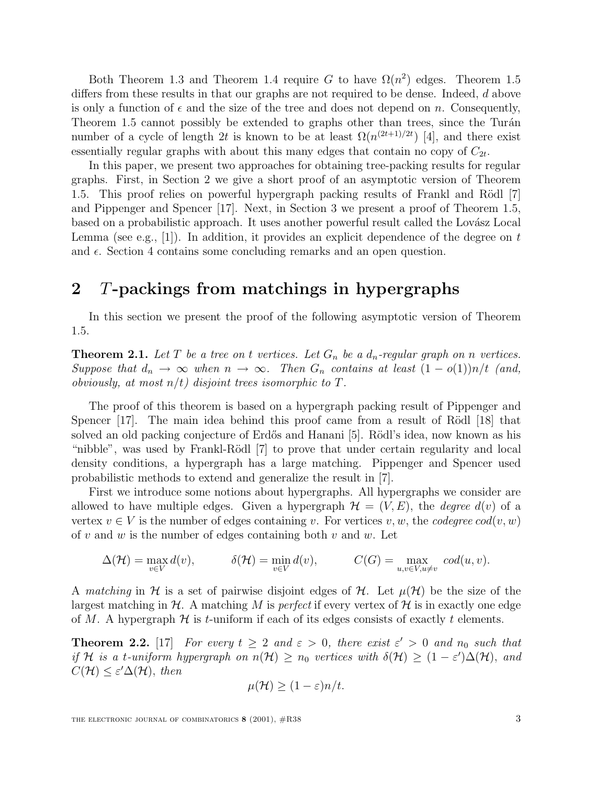Both Theorem 1.3 and Theorem 1.4 require G to have  $\Omega(n^2)$  edges. Theorem 1.5 differs from these results in that our graphs are not required to be dense. Indeed, d above is only a function of  $\epsilon$  and the size of the tree and does not depend on n. Consequently, Theorem 1.5 cannot possibly be extended to graphs other than trees, since the Turán number of a cycle of length 2t is known to be at least  $\Omega(n^{(2t+1)/2t})$  [4], and there exist essentially regular graphs with about this many edges that contain no copy of  $C_{2t}$ .

In this paper, we present two approaches for obtaining tree-packing results for regular graphs. First, in Section 2 we give a short proof of an asymptotic version of Theorem 1.5. This proof relies on powerful hypergraph packing results of Frankl and Rödl [7] and Pippenger and Spencer [17]. Next, in Section 3 we present a proof of Theorem 1.5, based on a probabilistic approach. It uses another powerful result called the Lovász Local Lemma (see e.g., [1]). In addition, it provides an explicit dependence of the degree on  $t$ and  $\epsilon$ . Section 4 contains some concluding remarks and an open question.

#### **2** T**-packings from matchings in hypergraphs**

In this section we present the proof of the following asymptotic version of Theorem 1.5.

**Theorem 2.1.** Let T be a tree on t vertices. Let  $G_n$  be a  $d_n$ -regular graph on n vertices. Suppose that  $d_n \to \infty$  when  $n \to \infty$ . Then  $G_n$  contains at least  $(1 - o(1))n/t$  (and, obviously, at most  $n/t$ ) disjoint trees isomorphic to T.

The proof of this theorem is based on a hypergraph packing result of Pippenger and Spencer  $[17]$ . The main idea behind this proof came from a result of Rödl  $[18]$  that solved an old packing conjecture of Erdős and Hanani [5]. Rödl's idea, now known as his "nibble", was used by Frankl-Rödl [7] to prove that under certain regularity and local density conditions, a hypergraph has a large matching. Pippenger and Spencer used probabilistic methods to extend and generalize the result in [7].

First we introduce some notions about hypergraphs. All hypergraphs we consider are allowed to have multiple edges. Given a hypergraph  $\mathcal{H} = (V, E)$ , the *degree*  $d(v)$  of a vertex  $v \in V$  is the number of edges containing v. For vertices v, w, the codegree cod $(v, w)$ of v and w is the number of edges containing both v and w. Let

$$
\Delta(\mathcal{H}) = \max_{v \in V} d(v), \qquad \delta(\mathcal{H}) = \min_{v \in V} d(v), \qquad C(G) = \max_{u,v \in V, u \neq v} cod(u,v).
$$

A matching in H is a set of pairwise disjoint edges of H. Let  $\mu(\mathcal{H})$  be the size of the largest matching in  $\mathcal H$ . A matching M is perfect if every vertex of  $\mathcal H$  is in exactly one edge of M. A hypergraph  $H$  is t-uniform if each of its edges consists of exactly t elements.

**Theorem 2.2.** [17] For every  $t \geq 2$  and  $\varepsilon > 0$ , there exist  $\varepsilon' > 0$  and  $n_0$  such that if H is a t-uniform hypergraph on  $n(\mathcal{H}) \geq n_0$  vertices with  $\delta(\mathcal{H}) \geq (1 - \varepsilon')\Delta(\mathcal{H})$ , and  $C(\mathcal{H}) \leq \varepsilon' \Delta(\mathcal{H}), \text{ then}$ 

$$
\mu(\mathcal{H}) \ge (1 - \varepsilon)n/t.
$$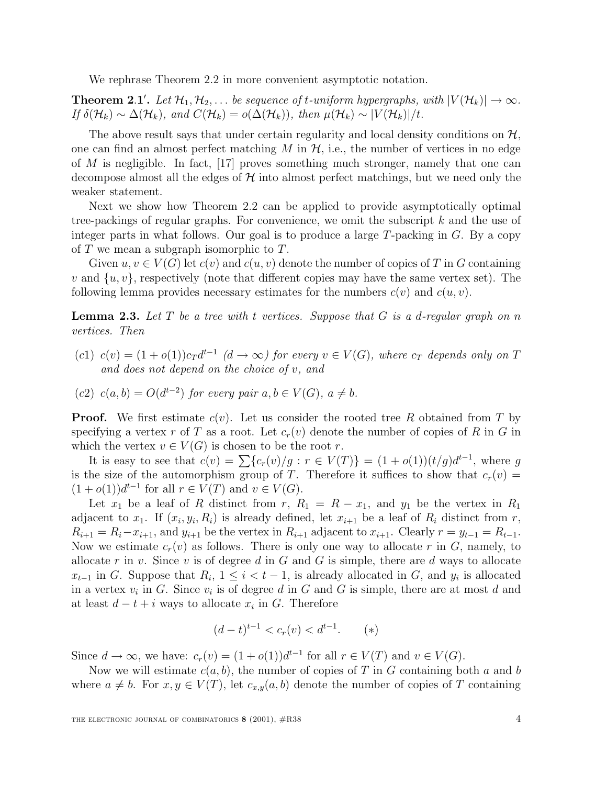We rephrase Theorem 2.2 in more convenient asymptotic notation.

**Theorem 2.1'.** Let  $\mathcal{H}_1, \mathcal{H}_2, \ldots$  be sequence of t-uniform hypergraphs, with  $|V(\mathcal{H}_k)| \to \infty$ . If  $\delta(\mathcal{H}_k) \sim \Delta(\mathcal{H}_k)$ , and  $C(\mathcal{H}_k) = o(\Delta(\mathcal{H}_k))$ , then  $\mu(\mathcal{H}_k) \sim |V(\mathcal{H}_k)|/t$ .

The above result says that under certain regularity and local density conditions on  $\mathcal{H}$ , one can find an almost perfect matching  $M$  in  $H$ , i.e., the number of vertices in no edge of  $M$  is negligible. In fact, [17] proves something much stronger, namely that one can decompose almost all the edges of  $\mathcal H$  into almost perfect matchings, but we need only the weaker statement.

Next we show how Theorem 2.2 can be applied to provide asymptotically optimal tree-packings of regular graphs. For convenience, we omit the subscript k and the use of integer parts in what follows. Our goal is to produce a large  $T$ -packing in  $G$ . By a copy of  $T$  we mean a subgraph isomorphic to  $T$ .

Given  $u, v \in V(G)$  let  $c(v)$  and  $c(u, v)$  denote the number of copies of T in G containing v and  $\{u, v\}$ , respectively (note that different copies may have the same vertex set). The following lemma provides necessary estimates for the numbers  $c(v)$  and  $c(u, v)$ .

**Lemma 2.3.** Let T be a tree with t vertices. Suppose that G is a d-regular graph on n vertices. Then

- (c1)  $c(v) = (1 + o(1))c_T d^{t-1}$   $(d \to \infty)$  for every  $v \in V(G)$ , where  $c_T$  depends only on T and does not depend on the choice of v, and
- (c2) c(a, b) =  $O(d^{t-2})$  for every pair  $a, b \in V(G)$ ,  $a \neq b$ .

**Proof.** We first estimate  $c(v)$ . Let us consider the rooted tree R obtained from T by specifying a vertex r of T as a root. Let  $c_r(v)$  denote the number of copies of R in G in which the vertex  $v \in V(G)$  is chosen to be the root r.

It is easy to see that  $c(v) = \sum {c_r(v)}/{g : r \in V(T)} = (1 + o(1))(t/g)d^{t-1}$ , where g is the size of the automorphism group of T. Therefore it suffices to show that  $c_r(v)$  =  $(1 + o(1))d^{t-1}$  for all  $r \in V(T)$  and  $v \in V(G)$ .

Let  $x_1$  be a leaf of R distinct from r,  $R_1 = R - x_1$ , and  $y_1$  be the vertex in  $R_1$ adjacent to  $x_1$ . If  $(x_i, y_i, R_i)$  is already defined, let  $x_{i+1}$  be a leaf of  $R_i$  distinct from  $r$ ,  $R_{i+1} = R_i - x_{i+1}$ , and  $y_{i+1}$  be the vertex in  $R_{i+1}$  adjacent to  $x_{i+1}$ . Clearly  $r = y_{t-1} = R_{t-1}$ . Now we estimate  $c_r(v)$  as follows. There is only one way to allocate r in G, namely, to allocate r in v. Since v is of degree d in  $G$  and  $G$  is simple, there are d ways to allocate  $x_{t-1}$  in G. Suppose that  $R_i$ ,  $1 \leq i < t-1$ , is already allocated in G, and  $y_i$  is allocated in a vertex  $v_i$  in G. Since  $v_i$  is of degree d in G and G is simple, there are at most d and at least  $d - t + i$  ways to allocate  $x_i$  in G. Therefore

$$
(d-t)^{t-1} < c_r(v) < d^{t-1}.\tag{*}
$$

Since  $d \to \infty$ , we have:  $c_r(v) = (1 + o(1))d^{t-1}$  for all  $r \in V(T)$  and  $v \in V(G)$ .

Now we will estimate  $c(a, b)$ , the number of copies of T in G containing both a and b where  $a \neq b$ . For  $x, y \in V(T)$ , let  $c_{x,y}(a, b)$  denote the number of copies of T containing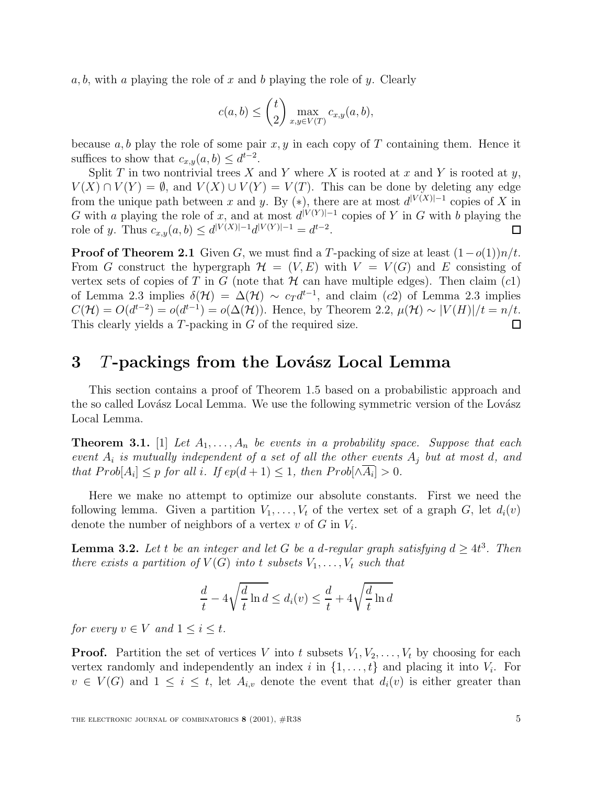a, b, with a playing the role of x and b playing the role of y. Clearly

$$
c(a,b) \leq {t \choose 2} \max_{x,y \in V(T)} c_{x,y}(a,b),
$$

because  $a, b$  play the role of some pair  $x, y$  in each copy of T containing them. Hence it suffices to show that  $c_{x,y}(a, b) \leq d^{t-2}$ .

Split T in two nontrivial trees X and Y where X is rooted at x and Y is rooted at y,  $V(X) \cap V(Y) = \emptyset$ , and  $V(X) \cup V(Y) = V(T)$ . This can be done by deleting any edge from the unique path between x and y. By (\*), there are at most  $d^{|V(X)|-1}$  copies of X in G with a playing the role of x, and at most  $d^{|V(Y)|-1}$  copies of Y in G with b playing the role of y. Thus  $c_{x,y}(a, b) \leq d^{|V(X)|-1}d^{|V(Y)|-1} = d^{t-2}$ . 囗

**Proof of Theorem 2.1** Given G, we must find a T-packing of size at least  $(1-o(1))n/t$ . From G construct the hypergraph  $\mathcal{H} = (V, E)$  with  $V = V(G)$  and E consisting of vertex sets of copies of T in G (note that  $H$  can have multiple edges). Then claim  $(c1)$ of Lemma 2.3 implies  $\delta(\mathcal{H}) = \Delta(\mathcal{H}) \sim c_T d^{t-1}$ , and claim (c2) of Lemma 2.3 implies  $C(\mathcal{H}) = O(d^{t-2}) = o(d^{t-1}) = o(\Delta(\mathcal{H}))$ . Hence, by Theorem 2.2,  $\mu(\mathcal{H}) \sim |V(H)|/t = n/t$ . This clearly yields a T-packing in G of the required size.  $\Box$ 

#### **3** T-packings from the Lovász Local Lemma

This section contains a proof of Theorem 1.5 based on a probabilistic approach and the so called Lovász Local Lemma. We use the following symmetric version of the Lovász Local Lemma.

**Theorem 3.1.** [1] Let  $A_1, \ldots, A_n$  be events in a probability space. Suppose that each event  $A_i$  is mutually independent of a set of all the other events  $A_j$  but at most d, and that  $Prob[A_i] \leq p$  for all i. If  $ep(d+1) \leq 1$ , then  $Prob[\wedge \overline{A_i}] > 0$ .

Here we make no attempt to optimize our absolute constants. First we need the following lemma. Given a partition  $V_1, \ldots, V_t$  of the vertex set of a graph G, let  $d_i(v)$ denote the number of neighbors of a vertex v of G in  $V_i$ .

**Lemma 3.2.** Let t be an integer and let G be a d-regular graph satisfying  $d \geq 4t^3$ . Then there exists a partition of  $V(G)$  into t subsets  $V_1, \ldots, V_t$  such that

$$
\frac{d}{t} - 4\sqrt{\frac{d}{t}\ln d} \le d_i(v) \le \frac{d}{t} + 4\sqrt{\frac{d}{t}\ln d}
$$

for every  $v \in V$  and  $1 \leq i \leq t$ .

**Proof.** Partition the set of vertices V into t subsets  $V_1, V_2, \ldots, V_t$  by choosing for each vertex randomly and independently an index i in  $\{1,\ldots,t\}$  and placing it into  $V_i$ . For  $v \in V(G)$  and  $1 \leq i \leq t$ , let  $A_{i,v}$  denote the event that  $d_i(v)$  is either greater than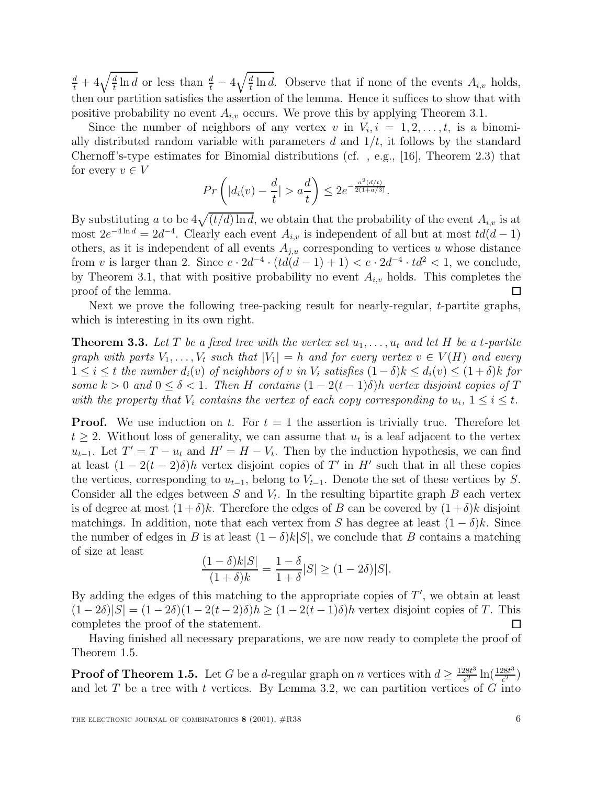$\frac{d}{dt} + 4\sqrt{\frac{d}{t} \ln d}$  or less than  $\frac{d}{t} - 4\sqrt{\frac{d}{t} \ln d}$ . Observe that if none of the events  $A_{i,v}$  holds, then our partition satisfies the assertion of the lemma. Hence it suffices to show that with positive probability no event  $A_{i,v}$  occurs. We prove this by applying Theorem 3.1.

Since the number of neighbors of any vertex v in  $V_i$ ,  $i = 1, 2, \ldots, t$ , is a binomially distributed random variable with parameters  $d$  and  $1/t$ , it follows by the standard Chernoff's-type estimates for Binomial distributions (cf. , e.g., [16], Theorem 2.3) that for every  $v \in V$ 

$$
Pr\left(|d_i(v) - \frac{d}{t}| > a\frac{d}{t}\right) \le 2e^{-\frac{a^2(d/t)}{2(1+a/3)}}.
$$

By substituting a to be  $4\sqrt{(t/d) \ln d}$ , we obtain that the probability of the event  $A_{i,v}$  is at most  $2e^{-4 \ln d} = 2d^{-4}$ . Clearly each event  $A_{i,v}$  is independent of all but at most  $td(d-1)$ others, as it is independent of all events  $A_{j,u}$  corresponding to vertices u whose distance from v is larger than 2. Since  $e \cdot 2d^{-4} \cdot (td(d-1) + 1) < e \cdot 2d^{-4} \cdot td^2 < 1$ , we conclude, by Theorem 3.1, that with positive probability no event  $A_{i,v}$  holds. This completes the proof of the lemma.  $\Box$ 

Next we prove the following tree-packing result for nearly-regular, t-partite graphs, which is interesting in its own right.

**Theorem 3.3.** Let T be a fixed tree with the vertex set  $u_1, \ldots, u_t$  and let H be a t-partite graph with parts  $V_1, \ldots, V_t$  such that  $|V_1| = h$  and for every vertex  $v \in V(H)$  and every  $1 \leq i \leq t$  the number  $d_i(v)$  of neighbors of v in  $V_i$  satisfies  $(1-\delta)k \leq d_i(v) \leq (1+\delta)k$  for some  $k > 0$  and  $0 \le \delta < 1$ . Then H contains  $(1 - 2(t-1)\delta)h$  vertex disjoint copies of T with the property that  $V_i$  contains the vertex of each copy corresponding to  $u_i$ ,  $1 \leq i \leq t$ .

**Proof.** We use induction on t. For  $t = 1$  the assertion is trivially true. Therefore let  $t \geq 2$ . Without loss of generality, we can assume that  $u_t$  is a leaf adjacent to the vertex  $u_{t-1}$ . Let  $T' = T - u_t$  and  $H' = H - V_t$ . Then by the induction hypothesis, we can find at least  $(1 - 2(t - 2)\delta)h$  vertex disjoint copies of T' in H' such that in all these copies the vertices, corresponding to  $u_{t-1}$ , belong to  $V_{t-1}$ . Denote the set of these vertices by S. Consider all the edges between S and  $V_t$ . In the resulting bipartite graph B each vertex is of degree at most  $(1+\delta)k$ . Therefore the edges of B can be covered by  $(1+\delta)k$  disjoint matchings. In addition, note that each vertex from S has degree at least  $(1 - \delta)k$ . Since the number of edges in B is at least  $(1 - \delta)k|S|$ , we conclude that B contains a matching of size at least

$$
\frac{(1-\delta)k|S|}{(1+\delta)k} = \frac{1-\delta}{1+\delta}|S| \ge (1-2\delta)|S|.
$$

By adding the edges of this matching to the appropriate copies of  $T'$ , we obtain at least  $(1-2\delta)|S| = (1-2\delta)(1-2(t-2)\delta)h \geq (1-2(t-1)\delta)h$  vertex disjoint copies of T. This completes the proof of the statement.  $\Box$ 

Having finished all necessary preparations, we are now ready to complete the proof of Theorem 1.5.

**Proof of Theorem 1.5.** Let G be a d-regular graph on n vertices with  $d \geq \frac{128t^3}{\epsilon^2} \ln(\frac{128t^3}{\epsilon^2})$ and let  $T$  be a tree with  $t$  vertices. By Lemma 3.2, we can partition vertices of  $G$  into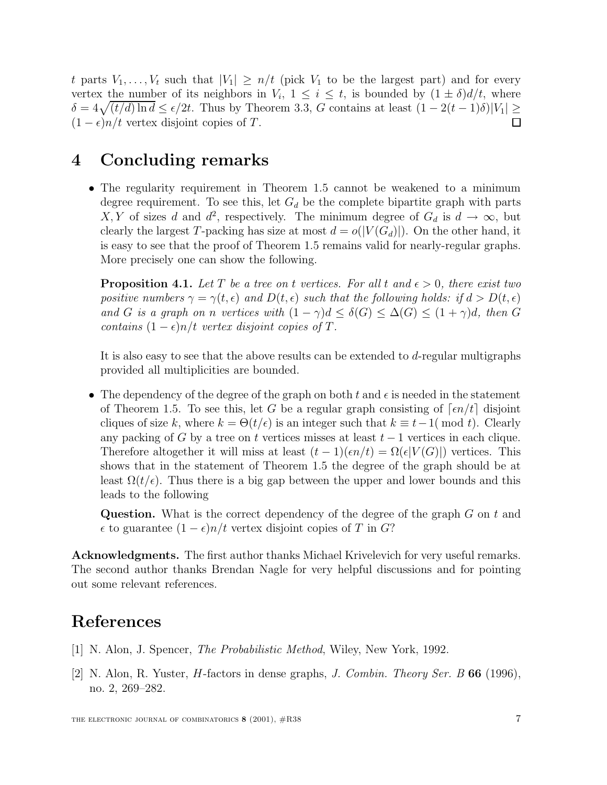t parts  $V_1, \ldots, V_t$  such that  $|V_1| \geq n/t$  (pick  $V_1$  to be the largest part) and for every vertex the number of its neighbors in  $V_i$ ,  $1 \leq i \leq t$ , is bounded by  $(1 \pm \delta)d/t$ , where  $\delta = 4\sqrt{(t/d)} \ln d \leq \epsilon/2t$ . Thus by Theorem 3.3, G contains at least  $(1 - 2(t-1)\delta)|V_1| \geq$  $(1 - \epsilon)n/t$  vertex disjoint copies of T.  $\Box$ 

### **4 Concluding remarks**

• The regularity requirement in Theorem 1.5 cannot be weakened to a minimum degree requirement. To see this, let  $G_d$  be the complete bipartite graph with parts X, Y of sizes d and  $d^2$ , respectively. The minimum degree of  $G_d$  is  $d \to \infty$ , but clearly the largest T-packing has size at most  $d = o(|V(G_d)|)$ . On the other hand, it is easy to see that the proof of Theorem 1.5 remains valid for nearly-regular graphs. More precisely one can show the following.

**Proposition 4.1.** Let T be a tree on t vertices. For all t and  $\epsilon > 0$ , there exist two positive numbers  $\gamma = \gamma(t, \epsilon)$  and  $D(t, \epsilon)$  such that the following holds: if  $d > D(t, \epsilon)$ and G is a graph on n vertices with  $(1 - \gamma)d \leq \delta(G) \leq \Delta(G) \leq (1 + \gamma)d$ , then G contains  $(1 - \epsilon)n/t$  vertex disjoint copies of T.

It is also easy to see that the above results can be extended to d-regular multigraphs provided all multiplicities are bounded.

• The dependency of the degree of the graph on both  $t$  and  $\epsilon$  is needed in the statement of Theorem 1.5. To see this, let G be a regular graph consisting of  $\lceil \epsilon n/t \rceil$  disjoint cliques of size k, where  $k = \Theta(t/\epsilon)$  is an integer such that  $k \equiv t-1 \pmod{t}$ . Clearly any packing of G by a tree on t vertices misses at least  $t-1$  vertices in each clique. Therefore altogether it will miss at least  $(t-1)(\epsilon n/t) = \Omega(\epsilon |V(G)|)$  vertices. This shows that in the statement of Theorem 1.5 the degree of the graph should be at least  $\Omega(t/\epsilon)$ . Thus there is a big gap between the upper and lower bounds and this leads to the following

**Question.** What is the correct dependency of the degree of the graph G on t and  $\epsilon$  to guarantee  $(1 - \epsilon)n/t$  vertex disjoint copies of T in G?

**Acknowledgments.** The first author thanks Michael Krivelevich for very useful remarks. The second author thanks Brendan Nagle for very helpful discussions and for pointing out some relevant references.

# **References**

- [1] N. Alon, J. Spencer, The Probabilistic Method, Wiley, New York, 1992.
- [2] N. Alon, R. Yuster, H-factors in dense graphs, J. Combin. Theory Ser. B **66** (1996), no. 2, 269–282.